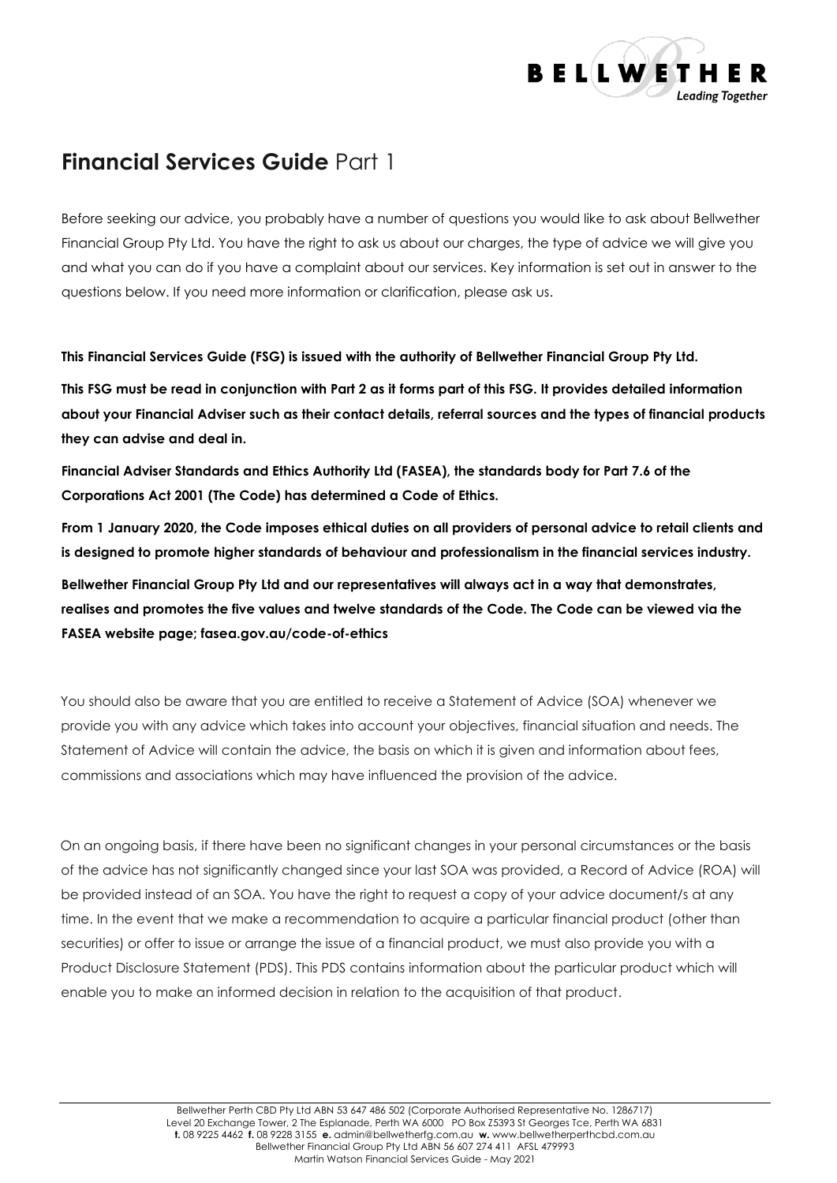

# **Financial Services Guide** Part 1

Before seeking our advice, you probably have a number of questions you would like to ask about Bellwether Financial Group Pty Ltd. You have the right to ask us about our charges, the type of advice we will give you and what you can do if you have a complaint about our services. Key information is set out in answer to the questions below. If you need more information or clarification, please ask us.

**This Financial Services Guide (FSG) is issued with the authority of Bellwether Financial Group Pty Ltd.** 

**This FSG must be read in conjunction with Part 2 as it forms part of this FSG. It provides detailed information about your Financial Adviser such as their contact details, referral sources and the types of financial products they can advise and deal in.**

**Financial Adviser Standards and Ethics Authority Ltd (FASEA), the standards body for Part 7.6 of the Corporations Act 2001 (The Code) has determined a Code of Ethics.**

**From 1 January 2020, the Code imposes ethical duties on all providers of personal advice to retail clients and is designed to promote higher standards of behaviour and professionalism in the financial services industry.**

**Bellwether Financial Group Pty Ltd and our representatives will always act in a way that demonstrates, realises and promotes the five values and twelve standards of the Code. The Code can be viewed via the FASEA website page; fasea.gov.au/code-of-ethics**

You should also be aware that you are entitled to receive a Statement of Advice (SOA) whenever we provide you with any advice which takes into account your objectives, financial situation and needs. The Statement of Advice will contain the advice, the basis on which it is given and information about fees, commissions and associations which may have influenced the provision of the advice.

On an ongoing basis, if there have been no significant changes in your personal circumstances or the basis of the advice has not significantly changed since your last SOA was provided, a Record of Advice (ROA) will be provided instead of an SOA. You have the right to request a copy of your advice document/s at any time. In the event that we make a recommendation to acquire a particular financial product (other than securities) or offer to issue or arrange the issue of a financial product, we must also provide you with a Product Disclosure Statement (PDS). This PDS contains information about the particular product which will enable you to make an informed decision in relation to the acquisition of that product.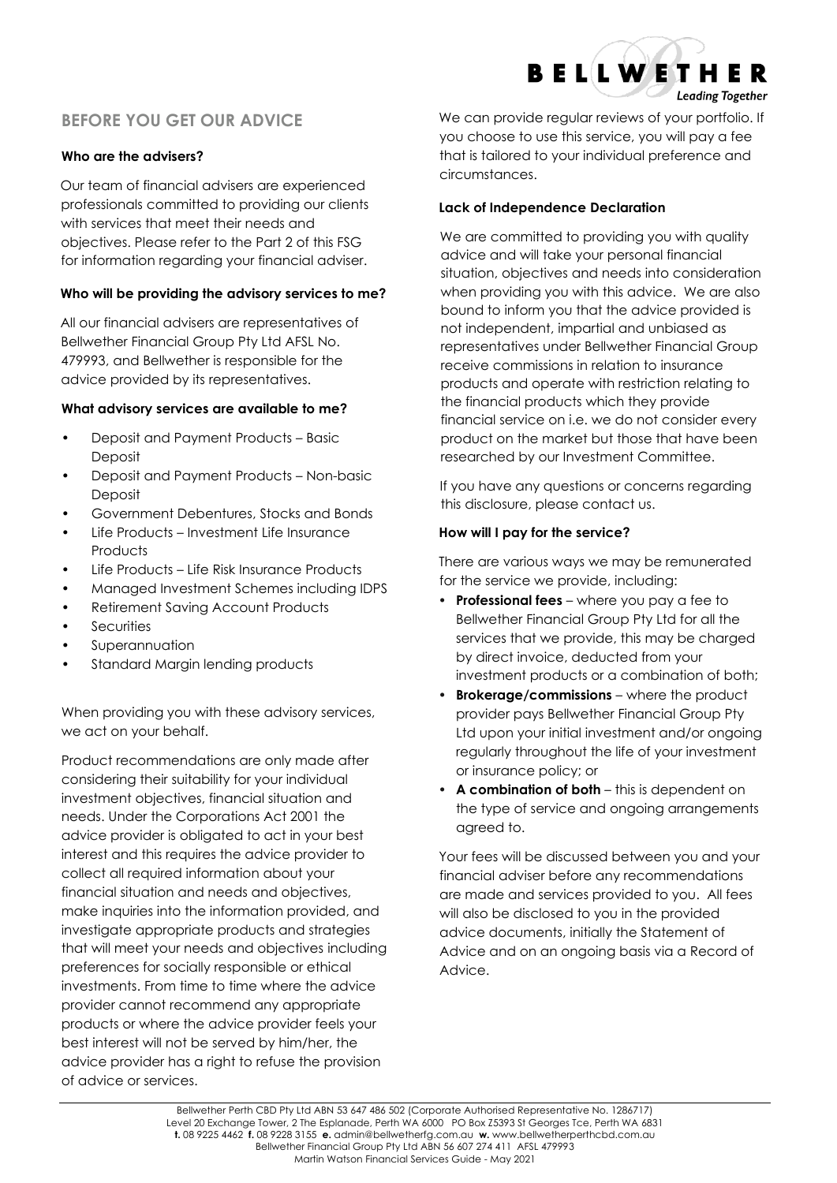## **BEFORE YOU GET OUR ADVICE**

## **Who are the advisers?**

Our team of financial advisers are experienced professionals committed to providing our clients with services that meet their needs and objectives. Please refer to the Part 2 of this FSG for information regarding your financial adviser.

### **Who will be providing the advisory services to me?**

All our financial advisers are representatives of Bellwether Financial Group Pty Ltd AFSL No. 479993, and Bellwether is responsible for the advice provided by its representatives.

#### **What advisory services are available to me?**

- **•** Deposit and Payment Products Basic Deposit
- **•** Deposit and Payment Products Non-basic Deposit
- **•** Government Debentures, Stocks and Bonds
- **•** Life Products Investment Life Insurance **Products**
- **•** Life Products Life Risk Insurance Products
- **•** Managed Investment Schemes including IDPS
- **•** Retirement Saving Account Products
- **•** Securities
- **•** Superannuation
- **•** Standard Margin lending products

When providing you with these advisory services, we act on your behalf.

Product recommendations are only made after considering their suitability for your individual investment objectives, financial situation and needs. Under the Corporations Act 2001 the advice provider is obligated to act in your best interest and this requires the advice provider to collect all required information about your financial situation and needs and objectives, make inquiries into the information provided, and investigate appropriate products and strategies that will meet your needs and objectives including preferences for socially responsible or ethical investments. From time to time where the advice provider cannot recommend any appropriate products or where the advice provider feels your best interest will not be served by him/her, the advice provider has a right to refuse the provision of advice or services.

We can provide regular reviews of your portfolio. If you choose to use this service, you will pay a fee that is tailored to your individual preference and circumstances.

**BELLWETHER** 

**Leading Together** 

### **Lack of Independence Declaration**

We are committed to providing you with quality advice and will take your personal financial situation, objectives and needs into consideration when providing you with this advice. We are also bound to inform you that the advice provided is not independent, impartial and unbiased as representatives under Bellwether Financial Group receive commissions in relation to insurance products and operate with restriction relating to the financial products which they provide financial service on i.e. we do not consider every product on the market but those that have been researched by our Investment Committee.

If you have any questions or concerns regarding this disclosure, please contact us.

## **How will I pay for the service?**

There are various ways we may be remunerated for the service we provide, including:

- **• Professional fees** where you pay a fee to Bellwether Financial Group Pty Ltd for all the services that we provide, this may be charged by direct invoice, deducted from your investment products or a combination of both;
- **• Brokerage/commissions** where the product provider pays Bellwether Financial Group Pty Ltd upon your initial investment and/or ongoing regularly throughout the life of your investment or insurance policy; or
- **• A combination of both** this is dependent on the type of service and ongoing arrangements agreed to.

Your fees will be discussed between you and your financial adviser before any recommendations are made and services provided to you. All fees will also be disclosed to you in the provided advice documents, initially the Statement of Advice and on an ongoing basis via a Record of Advice.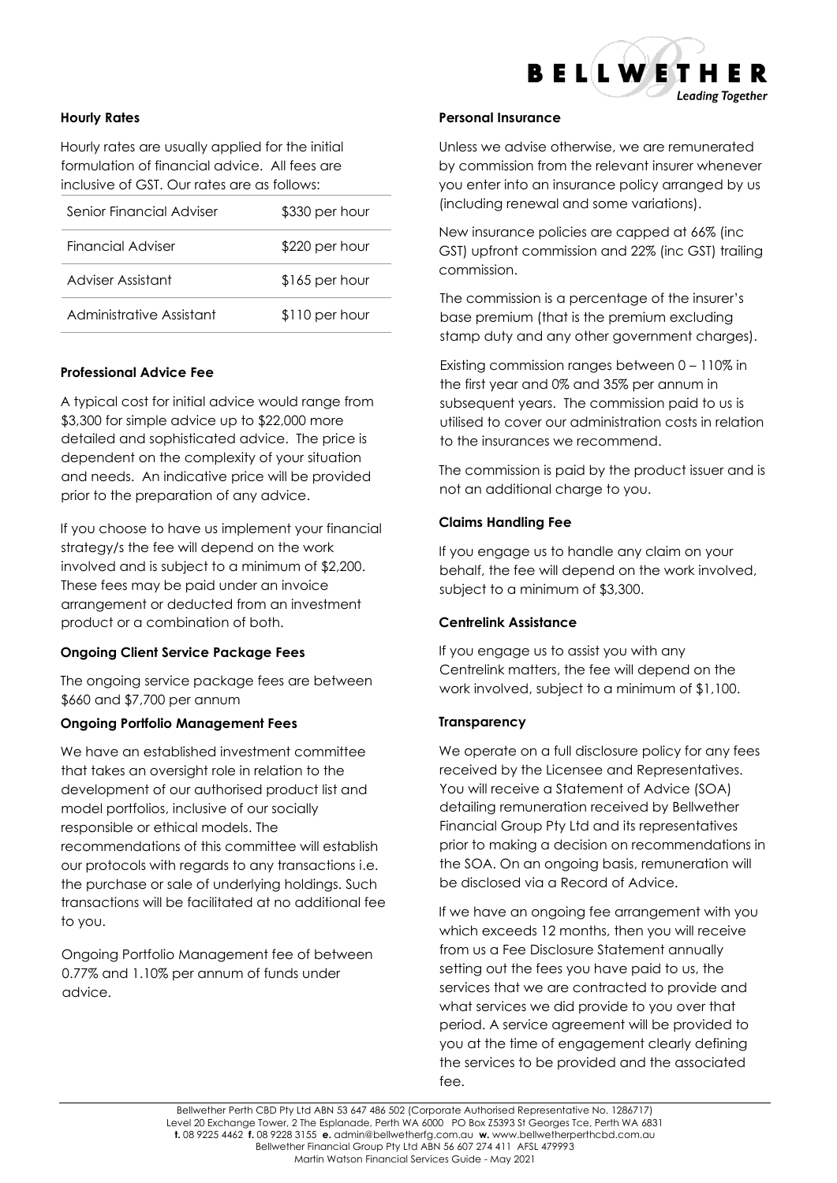

#### **Hourly Rates**

Hourly rates are usually applied for the initial formulation of financial advice. All fees are inclusive of GST. Our rates are as follows:

| Senior Financial Adviser | \$330 per hour |
|--------------------------|----------------|
| Financial Adviser        | \$220 per hour |
| Adviser Assistant        | \$165 per hour |
| Administrative Assistant | \$110 per hour |

#### **Professional Advice Fee**

A typical cost for initial advice would range from \$3,300 for simple advice up to \$22,000 more detailed and sophisticated advice. The price is dependent on the complexity of your situation and needs. An indicative price will be provided prior to the preparation of any advice.

If you choose to have us implement your financial strategy/s the fee will depend on the work involved and is subject to a minimum of \$2,200. These fees may be paid under an invoice arrangement or deducted from an investment product or a combination of both.

#### **Ongoing Client Service Package Fees**

The ongoing service package fees are between \$660 and \$7,700 per annum

#### **Ongoing Portfolio Management Fees**

We have an established investment committee that takes an oversight role in relation to the development of our authorised product list and model portfolios, inclusive of our socially responsible or ethical models. The recommendations of this committee will establish our protocols with regards to any transactions i.e. the purchase or sale of underlying holdings. Such transactions will be facilitated at no additional fee to you.

Ongoing Portfolio Management fee of between 0.77% and 1.10% per annum of funds under advice.

#### **Personal Insurance**

Unless we advise otherwise, we are remunerated by commission from the relevant insurer whenever you enter into an insurance policy arranged by us (including renewal and some variations).

New insurance policies are capped at 66% (inc GST) upfront commission and 22% (inc GST) trailing commission.

The commission is a percentage of the insurer's base premium (that is the premium excluding stamp duty and any other government charges).

Existing commission ranges between 0 – 110% in the first year and 0% and 35% per annum in subsequent years. The commission paid to us is utilised to cover our administration costs in relation to the insurances we recommend.

The commission is paid by the product issuer and is not an additional charge to you.

#### **Claims Handling Fee**

If you engage us to handle any claim on your behalf, the fee will depend on the work involved, subject to a minimum of \$3,300.

#### **Centrelink Assistance**

If you engage us to assist you with any Centrelink matters, the fee will depend on the work involved, subject to a minimum of \$1,100.

#### **Transparency**

We operate on a full disclosure policy for any fees received by the Licensee and Representatives. You will receive a Statement of Advice (SOA) detailing remuneration received by Bellwether Financial Group Pty Ltd and its representatives prior to making a decision on recommendations in the SOA. On an ongoing basis, remuneration will be disclosed via a Record of Advice.

If we have an ongoing fee arrangement with you which exceeds 12 months, then you will receive from us a Fee Disclosure Statement annually setting out the fees you have paid to us, the services that we are contracted to provide and what services we did provide to you over that period. A service agreement will be provided to you at the time of engagement clearly defining the services to be provided and the associated fee.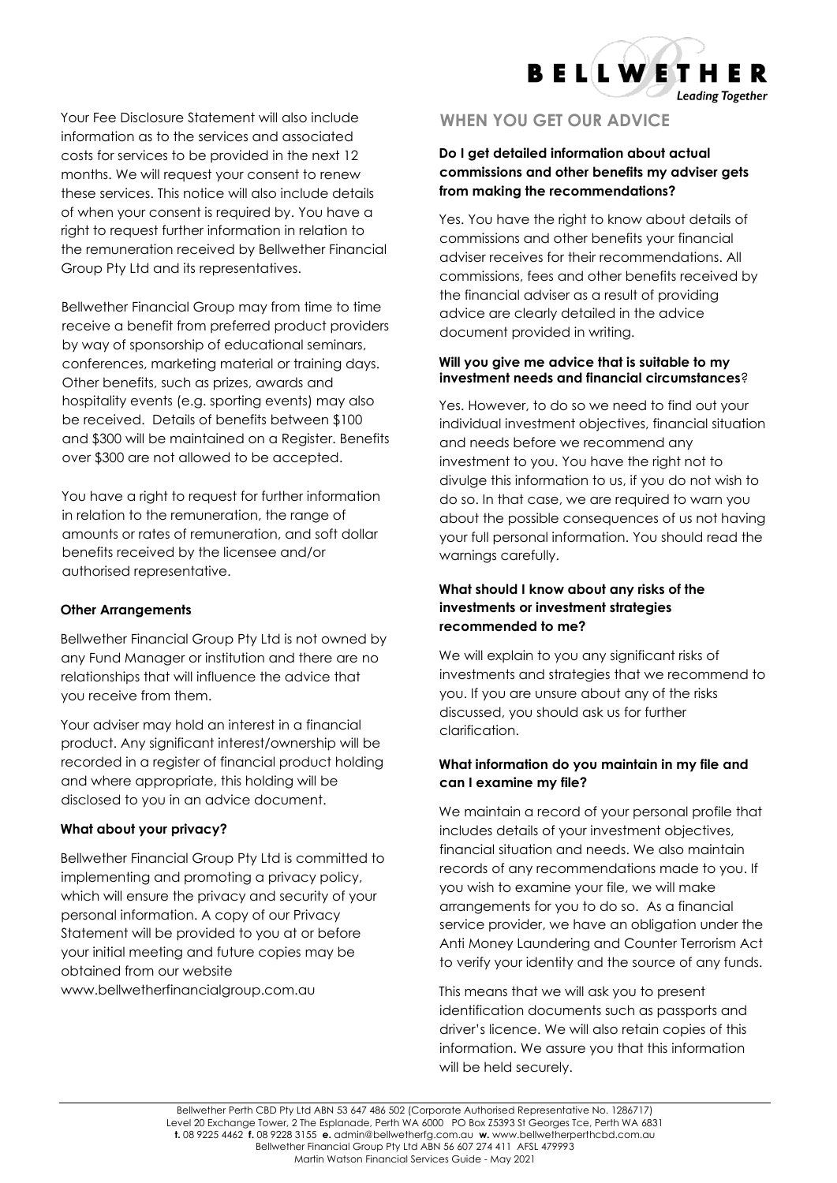**BELLWETHER Leading Together** 

Your Fee Disclosure Statement will also include information as to the services and associated costs for services to be provided in the next 12 months. We will request your consent to renew these services. This notice will also include details of when your consent is required by. You have a right to request further information in relation to the remuneration received by Bellwether Financial Group Pty Ltd and its representatives.

Bellwether Financial Group may from time to time receive a benefit from preferred product providers by way of sponsorship of educational seminars, conferences, marketing material or training days. Other benefits, such as prizes, awards and hospitality events (e.g. sporting events) may also be received. Details of benefits between \$100 and \$300 will be maintained on a Register. Benefits over \$300 are not allowed to be accepted.

You have a right to request for further information in relation to the remuneration, the range of amounts or rates of remuneration, and soft dollar benefits received by the licensee and/or authorised representative.

#### **Other Arrangements**

Bellwether Financial Group Pty Ltd is not owned by any Fund Manager or institution and there are no relationships that will influence the advice that you receive from them.

Your adviser may hold an interest in a financial product. Any significant interest/ownership will be recorded in a register of financial product holding and where appropriate, this holding will be disclosed to you in an advice document.

## **What about your privacy?**

Bellwether Financial Group Pty Ltd is committed to implementing and promoting a privacy policy, which will ensure the privacy and security of your personal information. A copy of our Privacy Statement will be provided to you at or before your initial meeting and future copies may be obtained from our website www.bellwetherfinancialgroup.com.au

## **WHEN YOU GET OUR ADVICE**

## **Do I get detailed information about actual commissions and other benefits my adviser gets from making the recommendations?**

Yes. You have the right to know about details of commissions and other benefits your financial adviser receives for their recommendations. All commissions, fees and other benefits received by the financial adviser as a result of providing advice are clearly detailed in the advice document provided in writing.

## **Will you give me advice that is suitable to my investment needs and financial circumstances**?

Yes. However, to do so we need to find out your individual investment objectives, financial situation and needs before we recommend any investment to you. You have the right not to divulge this information to us, if you do not wish to do so. In that case, we are required to warn you about the possible consequences of us not having your full personal information. You should read the warnings carefully.

## **What should I know about any risks of the investments or investment strategies recommended to me?**

We will explain to you any significant risks of investments and strategies that we recommend to you. If you are unsure about any of the risks discussed, you should ask us for further clarification.

## **What information do you maintain in my file and can I examine my file?**

We maintain a record of your personal profile that includes details of your investment objectives, financial situation and needs. We also maintain records of any recommendations made to you. If you wish to examine your file, we will make arrangements for you to do so. As a financial service provider, we have an obligation under the Anti Money Laundering and Counter Terrorism Act to verify your identity and the source of any funds.

This means that we will ask you to present identification documents such as passports and driver's licence. We will also retain copies of this information. We assure you that this information will be held securely.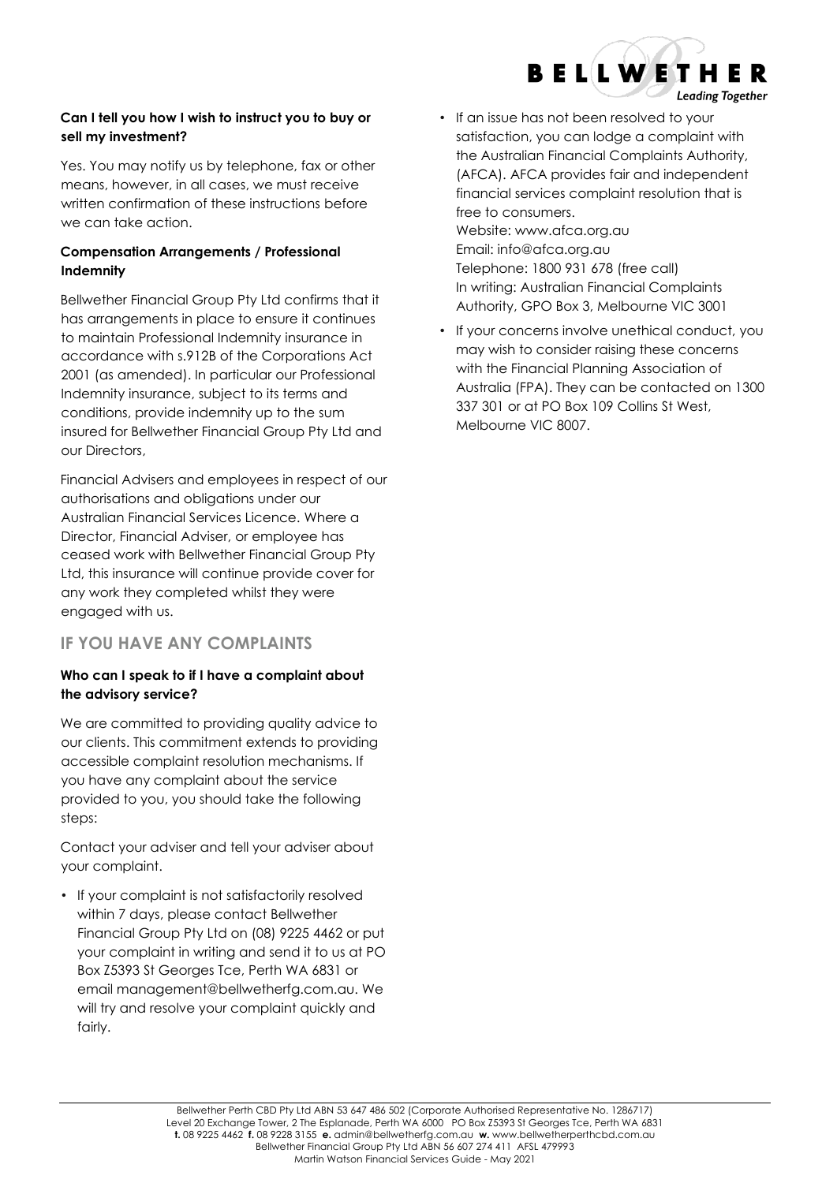

## **Can I tell you how I wish to instruct you to buy or sell my investment?**

Yes. You may notify us by telephone, fax or other means, however, in all cases, we must receive written confirmation of these instructions before we can take action.

## **Compensation Arrangements / Professional Indemnity**

Bellwether Financial Group Pty Ltd confirms that it has arrangements in place to ensure it continues to maintain Professional Indemnity insurance in accordance with s.912B of the Corporations Act 2001 (as amended). In particular our Professional Indemnity insurance, subject to its terms and conditions, provide indemnity up to the sum insured for Bellwether Financial Group Pty Ltd and our Directors,

Financial Advisers and employees in respect of our authorisations and obligations under our Australian Financial Services Licence. Where a Director, Financial Adviser, or employee has ceased work with Bellwether Financial Group Pty Ltd, this insurance will continue provide cover for any work they completed whilst they were engaged with us.

## **IF YOU HAVE ANY COMPLAINTS**

## **Who can I speak to if I have a complaint about the advisory service?**

We are committed to providing quality advice to our clients. This commitment extends to providing accessible complaint resolution mechanisms. If you have any complaint about the service provided to you, you should take the following steps:

Contact your adviser and tell your adviser about your complaint.

• If your complaint is not satisfactorily resolved within 7 days, please contact Bellwether Financial Group Pty Ltd on (08) 9225 4462 or put your complaint in writing and send it to us at PO Box Z5393 St Georges Tce, Perth WA 6831 or email management@bellwetherfg.com.au. We will try and resolve your complaint quickly and fairly.

• If an issue has not been resolved to your satisfaction, you can lodge a complaint with the Australian Financial Complaints Authority, (AFCA). AFCA provides fair and independent financial services complaint resolution that is free to consumers. Website: www.afca.org.au Email: [info@afca.org.au](mailto:info@afca.org.au) Telephone: 1800 931 678 (free call)

In writing: Australian Financial Complaints Authority, GPO Box 3, Melbourne VIC 3001

• If your concerns involve unethical conduct, you may wish to consider raising these concerns with the Financial Planning Association of Australia (FPA). They can be contacted on 1300 337 301 or at PO Box 109 Collins St West, Melbourne VIC 8007.